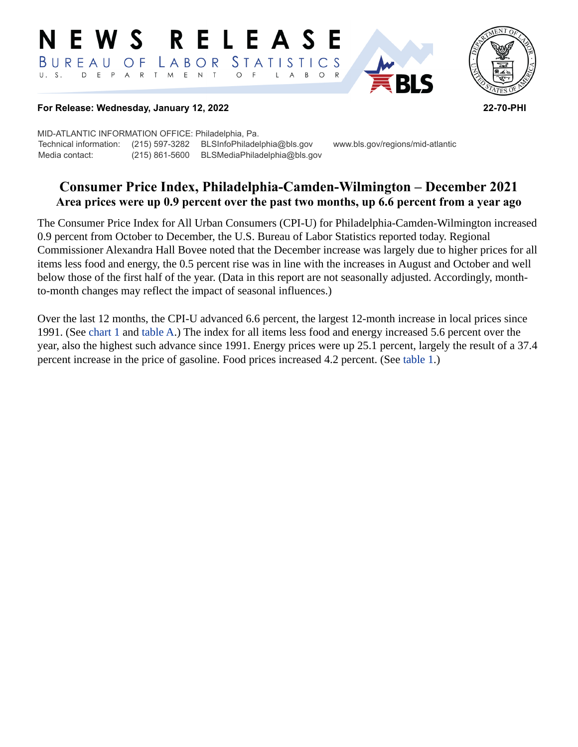#### **RELEASE** E W S STATISTICS BUREAU  $\overline{O}$  F LABOR D E P A R T M E N T  $\circ$  $\overline{F}$  $B$  $\circ$  $\mathsf{L}$  $\overline{A}$



#### **For Release: Wednesday, January 12, 2022 22-70-PHI**

MID-ATLANTIC INFORMATION OFFICE: Philadelphia, Pa. Technical information: (215) 597-3282 BLSInfoPhiladelphia@bls.gov www.bls.gov/regions/mid-atlantic Media contact: (215) 861-5600 BLSMediaPhiladelphia@bls.gov

# **Consumer Price Index, Philadelphia-Camden-Wilmington – December 2021 Area prices were up 0.9 percent over the past two months, up 6.6 percent from a year ago**

The Consumer Price Index for All Urban Consumers (CPI-U) for Philadelphia-Camden-Wilmington increased 0.9 percent from October to December, the U.S. Bureau of Labor Statistics reported today. Regional Commissioner Alexandra Hall Bovee noted that the December increase was largely due to higher prices for all items less food and energy, the 0.5 percent rise was in line with the increases in August and October and well below those of the first half of the year. (Data in this report are not seasonally adjusted. Accordingly, monthto-month changes may reflect the impact of seasonal influences.)

Over the last 12 months, the CPI-U advanced 6.6 percent, the largest 12-month increase in local prices since 1991. (See [chart 1](#page-1-0) and [table A.](#page-2-0)) The index for all items less food and energy increased 5.6 percent over the year, also the highest such advance since 1991. Energy prices were up 25.1 percent, largely the result of a 37.4 percent increase in the price of gasoline. Food prices increased 4.2 percent. (See [table 1](#page-5-0).)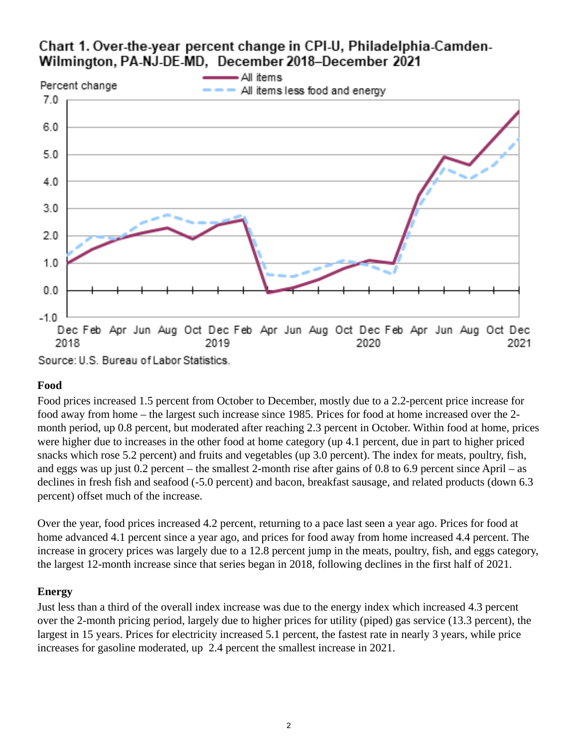# <span id="page-1-0"></span>Chart 1. Over-the-year percent change in CPI-U, Philadelphia-Camden-Wilmington, PA-NJ-DE-MD, December 2018-December 2021



Source: U.S. Bureau of Labor Statistics.

## **Food**

Food prices increased 1.5 percent from October to December, mostly due to a 2.2-percent price increase for food away from home – the largest such increase since 1985. Prices for food at home increased over the 2 month period, up 0.8 percent, but moderated after reaching 2.3 percent in October. Within food at home, prices were higher due to increases in the other food at home category (up 4.1 percent, due in part to higher priced snacks which rose 5.2 percent) and fruits and vegetables (up 3.0 percent). The index for meats, poultry, fish, and eggs was up just 0.2 percent – the smallest 2-month rise after gains of 0.8 to 6.9 percent since April – as declines in fresh fish and seafood (-5.0 percent) and bacon, breakfast sausage, and related products (down 6.3 percent) offset much of the increase.

Over the year, food prices increased 4.2 percent, returning to a pace last seen a year ago. Prices for food at home advanced 4.1 percent since a year ago, and prices for food away from home increased 4.4 percent. The increase in grocery prices was largely due to a 12.8 percent jump in the meats, poultry, fish, and eggs category, the largest 12-month increase since that series began in 2018, following declines in the first half of 2021.

## **Energy**

Just less than a third of the overall index increase was due to the energy index which increased 4.3 percent over the 2-month pricing period, largely due to higher prices for utility (piped) gas service (13.3 percent), the largest in 15 years. Prices for electricity increased 5.1 percent, the fastest rate in nearly 3 years, while price increases for gasoline moderated, up 2.4 percent the smallest increase in 2021.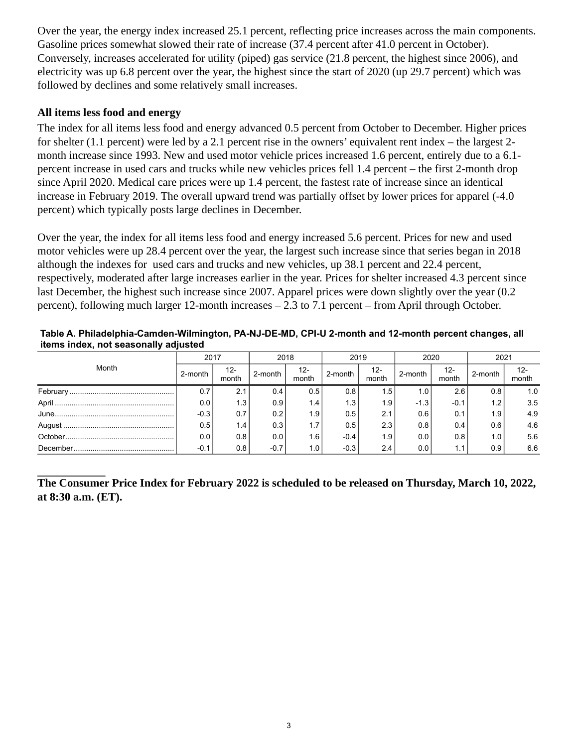Over the year, the energy index increased 25.1 percent, reflecting price increases across the main components. Gasoline prices somewhat slowed their rate of increase (37.4 percent after 41.0 percent in October). Conversely, increases accelerated for utility (piped) gas service (21.8 percent, the highest since 2006), and electricity was up 6.8 percent over the year, the highest since the start of 2020 (up 29.7 percent) which was followed by declines and some relatively small increases.

#### **All items less food and energy**

The index for all items less food and energy advanced 0.5 percent from October to December. Higher prices for shelter (1.1 percent) were led by a 2.1 percent rise in the owners' equivalent rent index – the largest 2 month increase since 1993. New and used motor vehicle prices increased 1.6 percent, entirely due to a 6.1 percent increase in used cars and trucks while new vehicles prices fell 1.4 percent – the first 2-month drop since April 2020. Medical care prices were up 1.4 percent, the fastest rate of increase since an identical increase in February 2019. The overall upward trend was partially offset by lower prices for apparel (-4.0 percent) which typically posts large declines in December.

Over the year, the index for all items less food and energy increased 5.6 percent. Prices for new and used motor vehicles were up 28.4 percent over the year, the largest such increase since that series began in 2018 although the indexes for used cars and trucks and new vehicles, up 38.1 percent and 22.4 percent, respectively, moderated after large increases earlier in the year. Prices for shelter increased 4.3 percent since last December, the highest such increase since 2007. Apparel prices were down slightly over the year (0.2 percent), following much larger 12-month increases – 2.3 to 7.1 percent – from April through October.

<span id="page-2-0"></span>

| Table A. Philadelphia-Camden-Wilmington, PA-NJ-DE-MD, CPI-U 2-month and 12-month percent changes, all |  |  |
|-------------------------------------------------------------------------------------------------------|--|--|
| items index, not seasonally adjusted                                                                  |  |  |

|       | 2017    |                 | 2018    |                  | 2019             |              | 2020    |              | 2021    |              |
|-------|---------|-----------------|---------|------------------|------------------|--------------|---------|--------------|---------|--------------|
| Month | 2-month | $12 -$<br>month | 2-month | 12-<br>month     | 2-month          | 12-<br>month | 2-month | 12-<br>month | 2-month | 12-<br>month |
|       |         | 2.1             | 0.4     | 0.5              | 0.8              | . 5'         | 1.0     | 2.6          | 0.8     | 1.0          |
|       | 0.0     | 1.3             | 0.9     | 1.4              | 1.3 <sub>1</sub> | 1.9          | $-1.3$  | $-0.1$       | 1.2     | 3.5          |
|       | $-0.3$  | 0.7             | 0.2     | 1.9              | 0.5              | 2.1          | 0.6     | 0.1          | 1.9     | 4.9          |
|       | 0.5     | 1.4             | 0.3     | 1.7              | 0.5              | 2.3          | 0.8     | 0.4          | 0.6     | 4.6          |
|       | 0.0     | 0.8             | 0.0     | 1.6              | $-0.4$           | 1.9          | 0.0     | 0.8          | 1.0     | 5.6          |
|       | $-0.1$  | 0.8             | $-0.7$  | 1.0 <sub>1</sub> | $-0.3$           | 2.4          | 0.0     | 1.1          | 0.9     | 6.6          |

**The Consumer Price Index for February 2022 is scheduled to be released on Thursday, March 10, 2022, at 8:30 a.m. (ET).**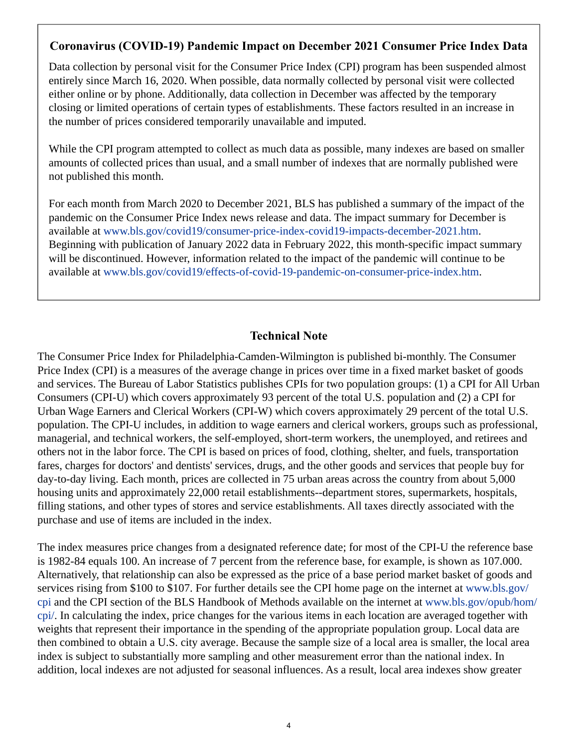## **Coronavirus (COVID-19) Pandemic Impact on December 2021 Consumer Price Index Data**

Data collection by personal visit for the Consumer Price Index (CPI) program has been suspended almost entirely since March 16, 2020. When possible, data normally collected by personal visit were collected either online or by phone. Additionally, data collection in December was affected by the temporary closing or limited operations of certain types of establishments. These factors resulted in an increase in the number of prices considered temporarily unavailable and imputed.

While the CPI program attempted to collect as much data as possible, many indexes are based on smaller amounts of collected prices than usual, and a small number of indexes that are normally published were not published this month.

For each month from March 2020 to December 2021, BLS has published a summary of the impact of the pandemic on the Consumer Price Index news release and data. The impact summary for December is available at [www.bls.gov/covid19/consumer-price-index-covid19-impacts-december-2021.htm.](https://www.bls.gov/covid19/consumer-price-index-covid19-impacts-december-2021.htm) Beginning with publication of January 2022 data in February 2022, this month-specific impact summary will be discontinued. However, information related to the impact of the pandemic will continue to be available at [www.bls.gov/covid19/effects-of-covid-19-pandemic-on-consumer-price-index.htm.](https://www.bls.gov/covid19/effects-of-covid-19-pandemic-on-consumer-price-index.htm)

## **Technical Note**

The Consumer Price Index for Philadelphia-Camden-Wilmington is published bi-monthly. The Consumer Price Index (CPI) is a measures of the average change in prices over time in a fixed market basket of goods and services. The Bureau of Labor Statistics publishes CPIs for two population groups: (1) a CPI for All Urban Consumers (CPI-U) which covers approximately 93 percent of the total U.S. population and (2) a CPI for Urban Wage Earners and Clerical Workers (CPI-W) which covers approximately 29 percent of the total U.S. population. The CPI-U includes, in addition to wage earners and clerical workers, groups such as professional, managerial, and technical workers, the self-employed, short-term workers, the unemployed, and retirees and others not in the labor force. The CPI is based on prices of food, clothing, shelter, and fuels, transportation fares, charges for doctors' and dentists' services, drugs, and the other goods and services that people buy for day-to-day living. Each month, prices are collected in 75 urban areas across the country from about 5,000 housing units and approximately 22,000 retail establishments--department stores, supermarkets, hospitals, filling stations, and other types of stores and service establishments. All taxes directly associated with the purchase and use of items are included in the index.

The index measures price changes from a designated reference date; for most of the CPI-U the reference base is 1982-84 equals 100. An increase of 7 percent from the reference base, for example, is shown as 107.000. Alternatively, that relationship can also be expressed as the price of a base period market basket of goods and services rising from \$100 to \$107. For further details see the CPI home page on the internet at [www.bls.gov/](https://www.bls.gov/cpi) [cpi](https://www.bls.gov/cpi) and the CPI section of the BLS Handbook of Methods available on the internet at [www.bls.gov/opub/hom/](https://www.bls.gov/opub/hom/cpi/) [cpi/.](https://www.bls.gov/opub/hom/cpi/) In calculating the index, price changes for the various items in each location are averaged together with weights that represent their importance in the spending of the appropriate population group. Local data are then combined to obtain a U.S. city average. Because the sample size of a local area is smaller, the local area index is subject to substantially more sampling and other measurement error than the national index. In addition, local indexes are not adjusted for seasonal influences. As a result, local area indexes show greater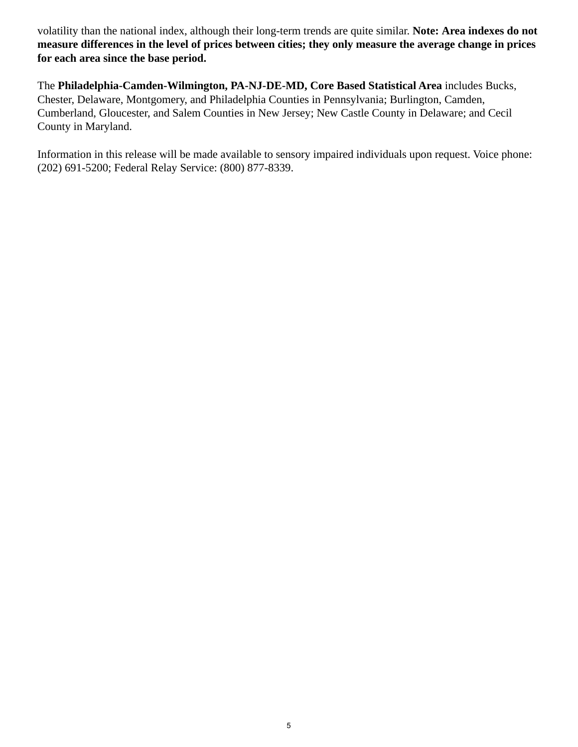volatility than the national index, although their long-term trends are quite similar. **Note: Area indexes do not measure differences in the level of prices between cities; they only measure the average change in prices for each area since the base period.**

The **Philadelphia-Camden-Wilmington, PA-NJ-DE-MD, Core Based Statistical Area** includes Bucks, Chester, Delaware, Montgomery, and Philadelphia Counties in Pennsylvania; Burlington, Camden, Cumberland, Gloucester, and Salem Counties in New Jersey; New Castle County in Delaware; and Cecil County in Maryland.

Information in this release will be made available to sensory impaired individuals upon request. Voice phone: (202) 691-5200; Federal Relay Service: (800) 877-8339.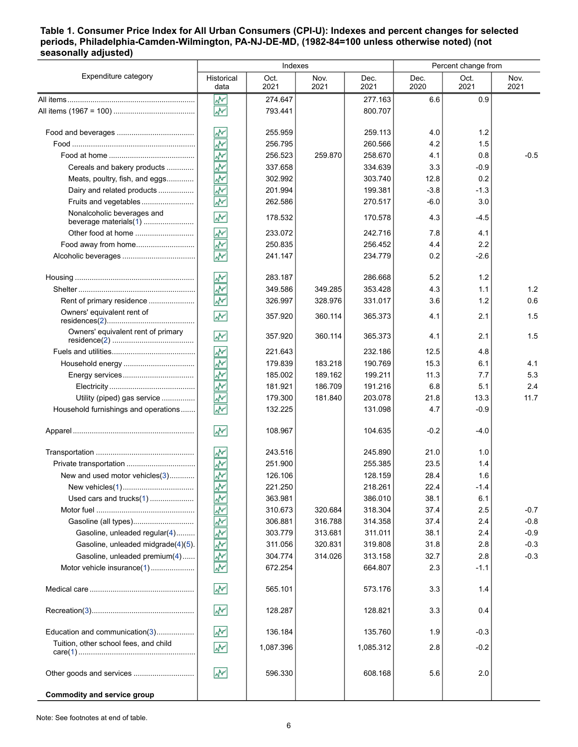#### <span id="page-5-0"></span>**Table 1. Consumer Price Index for All Urban Consumers (CPI-U): Indexes and percent changes for selected periods, Philadelphia-Camden-Wilmington, PA-NJ-DE-MD, (1982-84=100 unless otherwise noted) (not seasonally adjusted)**

|                                                                     |                               | Indexes            |                    |                    | Percent change from |                |              |
|---------------------------------------------------------------------|-------------------------------|--------------------|--------------------|--------------------|---------------------|----------------|--------------|
| Expenditure category                                                | Historical<br>data            | Oct.<br>2021       | Nov.<br>2021       | Dec.<br>2021       | Dec.<br>2020        | Oct.<br>2021   | Nov.<br>2021 |
|                                                                     | ۸Y                            | 274.647            |                    | 277.163            | 6.6                 | 0.9            |              |
|                                                                     | ۸Y                            | 793.441            |                    | 800.707            |                     |                |              |
|                                                                     | W۳                            | 255.959            |                    | 259.113            | 4.0                 | 1.2            |              |
|                                                                     | ŵ٨                            | 256.795            |                    | 260.566            | 4.2                 | 1.5            |              |
|                                                                     | ₩                             | 256.523            | 259.870            | 258.670            | 4.1                 | 0.8            | $-0.5$       |
| Cereals and bakery products                                         | ۸V                            | 337.658            |                    | 334.639            | 3.3                 | $-0.9$         |              |
| Meats, poultry, fish, and eggs                                      | ŵ٧                            | 302.992            |                    | 303.740            | 12.8                | 0.2            |              |
| Dairy and related products                                          | ž                             | 201.994            |                    | 199.381            | $-3.8$              | $-1.3$         |              |
| Fruits and vegetables                                               | ÷                             | 262.586            |                    | 270.517            | $-6.0$              | 3.0            |              |
| Nonalcoholic beverages and                                          | W۳                            | 178.532            |                    | 170.578            | 4.3                 | $-4.5$         |              |
| Other food at home                                                  | ۸V                            | 233.072            |                    | 242.716            | 7.8                 | 4.1            |              |
| Food away from home                                                 | ۸V                            | 250.835            |                    | 256.452            | 4.4                 | 2.2            |              |
|                                                                     | $\overline{\mathbf{v}}$       | 241.147            |                    | 234.779            | 0.2                 | $-26$          |              |
|                                                                     | ₩                             | 283.187            |                    | 286.668            | 5.2                 | 1.2            |              |
|                                                                     | <u>پيد</u>                    | 349.586            | 349.285            | 353.428            | 4.3                 | 1.1            | 1.2          |
| Rent of primary residence<br>Owners' equivalent rent of             | W<br>$\overline{\mathbf{v}}$  | 326.997<br>357.920 | 328.976<br>360.114 | 331.017<br>365.373 | 3.6<br>4.1          | 1.2<br>2.1     | 0.6<br>1.5   |
| Owners' equivalent rent of primary                                  |                               |                    |                    |                    |                     |                |              |
|                                                                     | W۲                            | 357.920            | 360.114            | 365.373<br>232.186 | 4.1                 | 2.1            | 1.5          |
|                                                                     | ۸V                            | 221.643<br>179.839 |                    | 190.769            | 12.5                | 4.8            |              |
|                                                                     | ۸V                            |                    | 183.218            |                    | 15.3                | 6.1            | 4.1          |
|                                                                     | ş                             | 185.002            | 189.162            | 199.211            | 11.3                | 7.7            | 5.3          |
|                                                                     | ž                             | 181.921            | 186.709            | 191.216            | 6.8                 | 5.1            | 2.4          |
| Utility (piped) gas service<br>Household furnishings and operations | ۸V<br>$\overline{\mathbf{v}}$ | 179.300<br>132.225 | 181.840            | 203.078<br>131.098 | 21.8<br>4.7         | 13.3<br>$-0.9$ | 11.7         |
|                                                                     | ŵ٧                            | 108.967            |                    | 104.635            | $-0.2$              | $-4.0$         |              |
|                                                                     | W۳                            | 243.516            |                    | 245.890            | 21.0                | 1.0            |              |
| Private transportation                                              | ۸V                            | 251.900            |                    | 255.385            | 23.5                | 1.4            |              |
| New and used motor vehicles(3)                                      | $\overline{\mathbf{v}}$       | 126.106            |                    | 128.159            | 28.4                | 1.6            |              |
|                                                                     | lм۲                           | 221.250            |                    | 218.261            | 22.4                | $-1.4$         |              |
| Used cars and trucks(1)                                             | ₩                             | 363.981            |                    | 386.010            | 38.1                | 6.1            |              |
|                                                                     | ۸Y                            | 310.673            | 320.684            | 318.304            | 37.4                | 2.5            | $-0.7$       |
| Gasoline (all types)                                                | ş                             | 306.881            | 316.788            | 314.358            | 37.4                | 2.4            | $-0.8$       |
| Gasoline, unleaded regular(4)                                       | <mark>پ</mark> ې              | 303.779            | 313.681            | 311.011            | 38.1                | 2.4            | $-0.9$       |
| Gasoline, unleaded midgrade(4)(5).                                  | ş                             | 311.056            | 320.831            | 319.808            | 31.8                | 2.8            | $-0.3$       |
| Gasoline, unleaded premium(4)                                       | ۸Y                            | 304.774            | 314.026            | 313.158            | 32.7                | 2.8            | $-0.3$       |
| Motor vehicle insurance(1)                                          | $\overline{\mathcal{N}}$      | 672.254            |                    | 664.807            | 2.3                 | $-1.1$         |              |
|                                                                     | ۸M                            | 565.101            |                    | 573.176            | 3.3                 | 1.4            |              |
|                                                                     | ۸M                            | 128.287            |                    | 128.821            | 3.3                 | 0.4            |              |
| Education and communication(3)                                      | ۸Y                            | 136.184            |                    | 135.760            | 1.9                 | $-0.3$         |              |
| Tuition, other school fees, and child                               | W                             | 1,087.396          |                    | 1,085.312          | 2.8                 | $-0.2$         |              |
| Other goods and services                                            | ۸M                            | 596.330            |                    | 608.168            | 5.6                 | 2.0            |              |
| <b>Commodity and service group</b>                                  |                               |                    |                    |                    |                     |                |              |